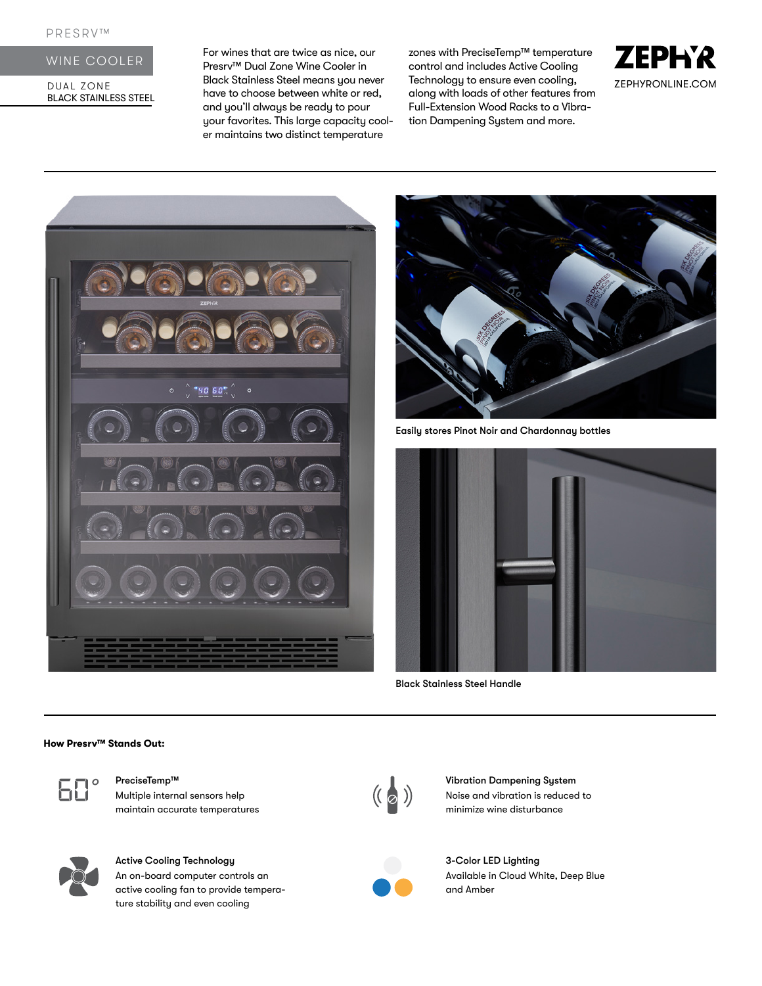## WINE COOLER

DUAL ZONE BLACK STAINLESS STEEL For wines that are twice as nice, our Presrv™ Dual Zone Wine Cooler in Black Stainless Steel means you never have to choose between white or red, and you'll always be ready to pour your favorites. This large capacity cooler maintains two distinct temperature

zones with PreciseTemp™ temperature control and includes Active Cooling Technology to ensure even cooling, along with loads of other features from Full-Extension Wood Racks to a Vibration Dampening System and more.







Easily stores Pinot Noir and Chardonnay bottles



Black Stainless Steel Handle

#### **How Presrv™ Stands Out:**



Multiple internal sensors help maintain accurate temperatures



# Active Cooling Technology

An on-board computer controls an active cooling fan to provide temperature stability and even cooling



PreciseTemp™ Vibration Dampening System<br>Multiple internal sensors help (( a ) Vibration Is reduced<br>minimize wine disturbance Noise and vibration is reduced to minimize wine disturbance



3-Color LED Lighting Available in Cloud White, Deep Blue and Amber